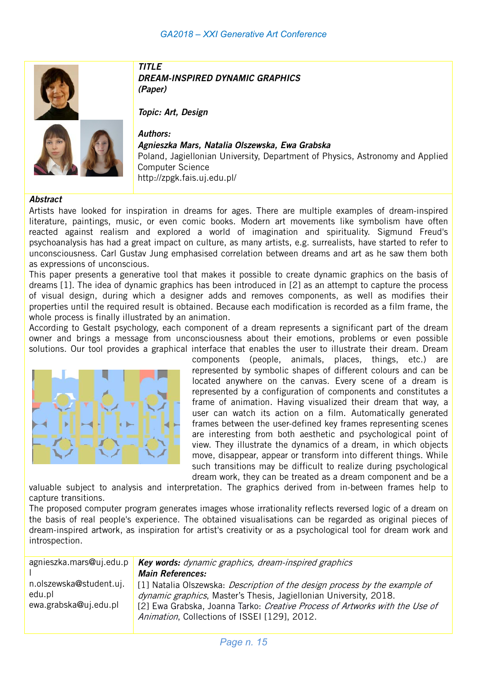



### TITLE DREAM-INSPIRED DYNAMIC GRAPHICS (Paper)

Topic: Art, Design

Authors: Agnieszka Mars, Natalia Olszewska, Ewa Grabska Poland, Jagiellonian University, Department of Physics, Astronomy and Applied Computer Science http://zpgk.fais.uj.edu.pl/

#### **Abstract**

Artists have looked for inspiration in dreams for ages. There are multiple examples of dream-inspired literature, paintings, music, or even comic books. Modern art movements like symbolism have often reacted against realism and explored a world of imagination and spirituality. Sigmund Freud's psychoanalysis has had a great impact on culture, as many artists, e.g. surrealists, have started to refer to unconsciousness. Carl Gustav Jung emphasised correlation between dreams and art as he saw them both as expressions of unconscious.

This paper presents a generative tool that makes it possible to create dynamic graphics on the basis of dreams [1]. The idea of dynamic graphics has been introduced in [2] as an attempt to capture the process of visual design, during which a designer adds and removes components, as well as modifies their properties until the required result is obtained. Because each modification is recorded as a film frame, the whole process is finally illustrated by an animation.

According to Gestalt psychology, each component of a dream represents a significant part of the dream owner and brings a message from unconsciousness about their emotions, problems or even possible solutions. Our tool provides a graphical interface that enables the user to illustrate their dream. Dream



components (people, animals, places, things, etc.) are represented by symbolic shapes of different colours and can be located anywhere on the canvas. Every scene of a dream is represented by a configuration of components and constitutes a frame of animation. Having visualized their dream that way, a user can watch its action on a film. Automatically generated frames between the user-defined key frames representing scenes are interesting from both aesthetic and psychological point of view. They illustrate the dynamics of a dream, in which objects move, disappear, appear or transform into different things. While such transitions may be difficult to realize during psychological dream work, they can be treated as a dream component and be a

valuable subject to analysis and interpretation. The graphics derived from in-between frames help to capture transitions.

The proposed computer program generates images whose irrationality reflects reversed logic of a dream on the basis of real people's experience. The obtained visualisations can be regarded as original pieces of dream-inspired artwork, as inspiration for artist's creativity or as a psychological tool for dream work and introspection.

|                                                            | agnieszka.mars@uj.edu.p Key words: dynamic graphics, dream-inspired graphics                                                                                                                                                                                                          |
|------------------------------------------------------------|---------------------------------------------------------------------------------------------------------------------------------------------------------------------------------------------------------------------------------------------------------------------------------------|
|                                                            | <b>Main References:</b>                                                                                                                                                                                                                                                               |
| n.olszewska@student.uj.<br>edu.pl<br>ewa.grabska@uj.edu.pl | [1] Natalia Olszewska: <i>Description of the design process by the example of</i><br>dynamic graphics, Master's Thesis, Jagiellonian University, 2018.<br>[2] Ewa Grabska, Joanna Tarko: Creative Process of Artworks with the Use of<br>Animation, Collections of ISSEI [129], 2012. |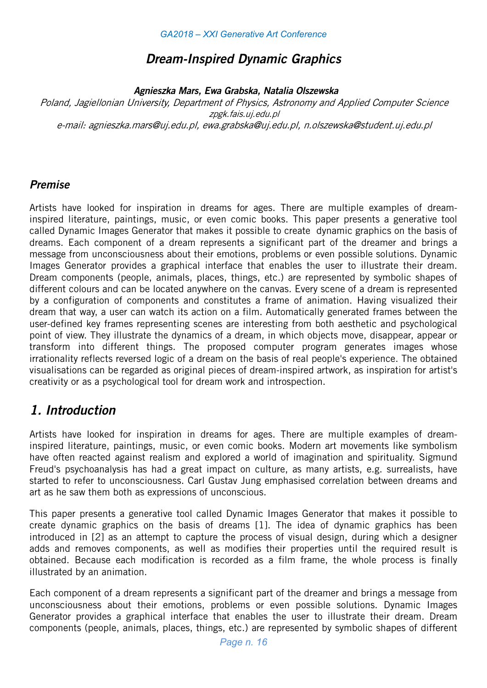## Dream-Inspired Dynamic Graphics

Agnieszka Mars, Ewa Grabska, Natalia Olszewska

Poland, Jagiellonian University, Department of Physics, Astronomy and Applied Computer Science zpgk.fais.uj.edu.pl e-mail: agnieszka.mars@uj.edu.pl, ewa.grabska@uj.edu.pl, n.olszewska@student.uj.edu.pl

## Premise

Artists have looked for inspiration in dreams for ages. There are multiple examples of dreaminspired literature, paintings, music, or even comic books. This paper presents a generative tool called Dynamic Images Generator that makes it possible to create dynamic graphics on the basis of dreams. Each component of a dream represents a significant part of the dreamer and brings a message from unconsciousness about their emotions, problems or even possible solutions. Dynamic Images Generator provides a graphical interface that enables the user to illustrate their dream. Dream components (people, animals, places, things, etc.) are represented by symbolic shapes of different colours and can be located anywhere on the canvas. Every scene of a dream is represented by a configuration of components and constitutes a frame of animation. Having visualized their dream that way, a user can watch its action on a film. Automatically generated frames between the user-defined key frames representing scenes are interesting from both aesthetic and psychological point of view. They illustrate the dynamics of a dream, in which objects move, disappear, appear or transform into different things. The proposed computer program generates images whose irrationality reflects reversed logic of a dream on the basis of real people's experience. The obtained visualisations can be regarded as original pieces of dream-inspired artwork, as inspiration for artist's creativity or as a psychological tool for dream work and introspection.

## 1. Introduction

Artists have looked for inspiration in dreams for ages. There are multiple examples of dreaminspired literature, paintings, music, or even comic books. Modern art movements like symbolism have often reacted against realism and explored a world of imagination and spirituality. Sigmund Freud's psychoanalysis has had a great impact on culture, as many artists, e.g. surrealists, have started to refer to unconsciousness. Carl Gustav Jung emphasised correlation between dreams and art as he saw them both as expressions of unconscious.

This paper presents a generative tool called Dynamic Images Generator that makes it possible to create dynamic graphics on the basis of dreams [1]. The idea of dynamic graphics has been introduced in [2] as an attempt to capture the process of visual design, during which a designer adds and removes components, as well as modifies their properties until the required result is obtained. Because each modification is recorded as a film frame, the whole process is finally illustrated by an animation.

Each component of a dream represents a significant part of the dreamer and brings a message from unconsciousness about their emotions, problems or even possible solutions. Dynamic Images Generator provides a graphical interface that enables the user to illustrate their dream. Dream components (people, animals, places, things, etc.) are represented by symbolic shapes of different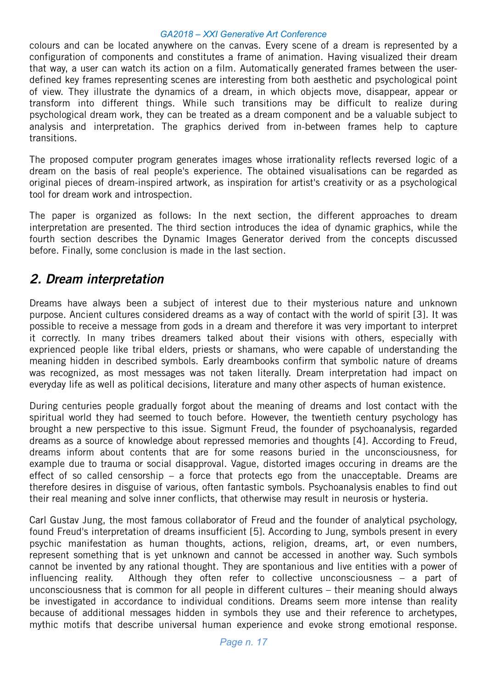colours and can be located anywhere on the canvas. Every scene of a dream is represented by a configuration of components and constitutes a frame of animation. Having visualized their dream that way, a user can watch its action on a film. Automatically generated frames between the userdefined key frames representing scenes are interesting from both aesthetic and psychological point of view. They illustrate the dynamics of a dream, in which objects move, disappear, appear or transform into different things. While such transitions may be difficult to realize during psychological dream work, they can be treated as a dream component and be a valuable subject to analysis and interpretation. The graphics derived from in-between frames help to capture transitions.

The proposed computer program generates images whose irrationality reflects reversed logic of a dream on the basis of real people's experience. The obtained visualisations can be regarded as original pieces of dream-inspired artwork, as inspiration for artist's creativity or as a psychological tool for dream work and introspection.

The paper is organized as follows: In the next section, the different approaches to dream interpretation are presented. The third section introduces the idea of dynamic graphics, while the fourth section describes the Dynamic Images Generator derived from the concepts discussed before. Finally, some conclusion is made in the last section.

## 2. Dream interpretation

Dreams have always been a subject of interest due to their mysterious nature and unknown purpose. Ancient cultures considered dreams as a way of contact with the world of spirit [3]. It was possible to receive a message from gods in a dream and therefore it was very important to interpret it correctly. In many tribes dreamers talked about their visions with others, especially with exprienced people like tribal elders, priests or shamans, who were capable of understanding the meaning hidden in described symbols. Early dreambooks confirm that symbolic nature of dreams was recognized, as most messages was not taken literally. Dream interpretation had impact on everyday life as well as political decisions, literature and many other aspects of human existence.

During centuries people gradually forgot about the meaning of dreams and lost contact with the spiritual world they had seemed to touch before. However, the twentieth century psychology has brought a new perspective to this issue. Sigmunt Freud, the founder of psychoanalysis, regarded dreams as a source of knowledge about repressed memories and thoughts [4]. According to Freud, dreams inform about contents that are for some reasons buried in the unconsciousness, for example due to trauma or social disapproval. Vague, distorted images occuring in dreams are the effect of so called censorship – a force that protects ego from the unacceptable. Dreams are therefore desires in disguise of various, often fantastic symbols. Psychoanalysis enables to find out their real meaning and solve inner conflicts, that otherwise may result in neurosis or hysteria.

Carl Gustav Jung, the most famous collaborator of Freud and the founder of analytical psychology, found Freud's interpretation of dreams insufficient [5]. According to Jung, symbols present in every psychic manifestation as human thoughts, actions, religion, dreams, art, or even numbers, represent something that is yet unknown and cannot be accessed in another way. Such symbols cannot be invented by any rational thought. They are spontanious and live entities with a power of influencing reality. Although they often refer to collective unconsciousness – a part of unconsciousness that is common for all people in different cultures – their meaning should always be investigated in accordance to individual conditions. Dreams seem more intense than reality because of additional messages hidden in symbols they use and their reference to archetypes, mythic motifs that describe universal human experience and evoke strong emotional response.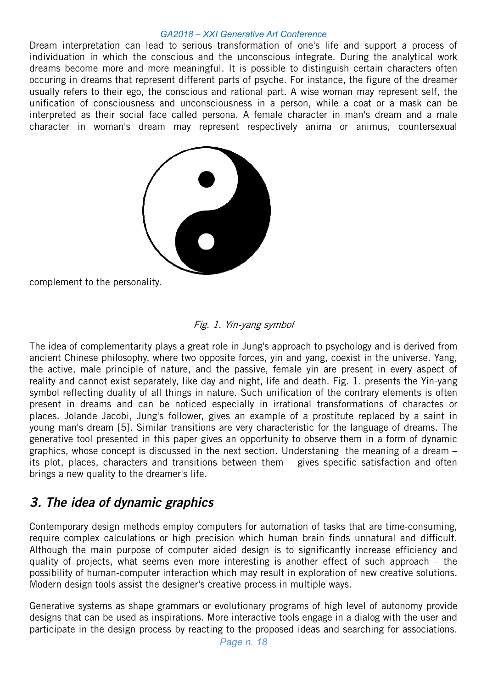Dream interpretation can lead to serious transformation of one's life and support a process of individuation in which the conscious and the unconscious integrate. During the analytical work dreams become more and more meaningful. It is possible to distinguish certain characters often occuring in dreams that represent different parts of psyche. For instance, the figure of the dreamer usually refers to their ego, the conscious and rational part. A wise woman may represent self, the unification of consciousness and unconsciousness in a person, while a coat or a mask can be interpreted as their social face called persona. A female character in man's dream and a male character in woman's dream may represent respectively anima or animus, countersexual



complement to the personality.

### Fig. 1. Yin-yang symbol

The idea of complementarity plays a great role in Jung's approach to psychology and is derived from ancient Chinese philosophy, where two opposite forces, yin and yang, coexist in the universe. Yang, the active, male principle of nature, and the passive, female yin are present in every aspect of reality and cannot exist separately, like day and night, life and death. Fig. 1. presents the Yin-yang symbol reflecting duality of all things in nature. Such unification of the contrary elements is often present in dreams and can be noticed especially in irrational transformations of charactes or places. Jolande Jacobi, Jung's follower, gives an example of a prostitute replaced by a saint in young man's dream [5]. Similar transitions are very characteristic for the language of dreams. The generative tool presented in this paper gives an opportunity to observe them in a form of dynamic graphics, whose concept is discussed in the next section. Understaning the meaning of a dream – its plot, places, characters and transitions between them – gives specific satisfaction and often brings a new quality to the dreamer's life.

# 3. The idea of dynamic graphics

Contemporary design methods employ computers for automation of tasks that are time-consuming, require complex calculations or high precision which human brain finds unnatural and difficult. Although the main purpose of computer aided design is to significantly increase efficiency and quality of projects, what seems even more interesting is another effect of such approach – the possibility of human-computer interaction which may result in exploration of new creative solutions. Modern design tools assist the designer's creative process in multiple ways.

Generative systems as shape grammars or evolutionary programs of high level of autonomy provide designs that can be used as inspirations. More interactive tools engage in a dialog with the user and participate in the design process by reacting to the proposed ideas and searching for associations.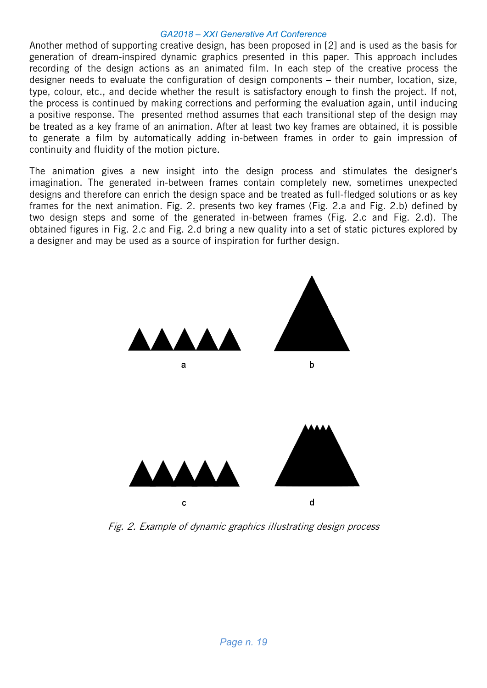Another method of supporting creative design, has been proposed in [2] and is used as the basis for generation of dream-inspired dynamic graphics presented in this paper. This approach includes recording of the design actions as an animated film. In each step of the creative process the designer needs to evaluate the configuration of design components – their number, location, size, type, colour, etc., and decide whether the result is satisfactory enough to finsh the project. If not, the process is continued by making corrections and performing the evaluation again, until inducing a positive response. The presented method assumes that each transitional step of the design may be treated as a key frame of an animation. After at least two key frames are obtained, it is possible to generate a film by automatically adding in-between frames in order to gain impression of continuity and fluidity of the motion picture.

The animation gives a new insight into the design process and stimulates the designer's imagination. The generated in-between frames contain completely new, sometimes unexpected designs and therefore can enrich the design space and be treated as full-fledged solutions or as key frames for the next animation. Fig. 2. presents two key frames (Fig. 2.a and Fig. 2.b) defined by two design steps and some of the generated in-between frames (Fig. 2.c and Fig. 2.d). The obtained figures in Fig. 2.c and Fig. 2.d bring a new quality into a set of static pictures explored by a designer and may be used as a source of inspiration for further design.



Fig. 2. Example of dynamic graphics illustrating design process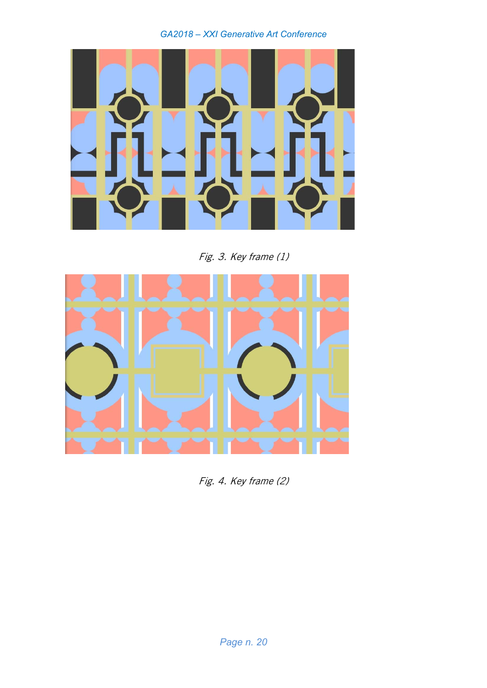

Fig. 3. Key frame (1)



Fig. 4. Key frame (2)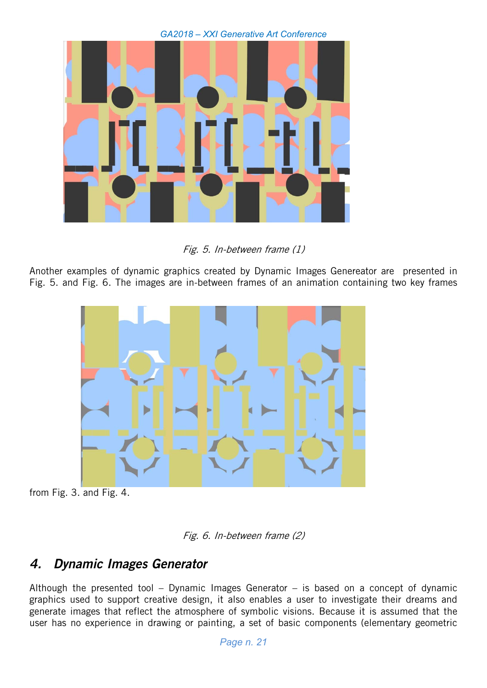

Fig. 5. In-between frame (1)

Another examples of dynamic graphics created by Dynamic Images Genereator are presented in Fig. 5. and Fig. 6. The images are in-between frames of an animation containing two key frames



from Fig. 3. and Fig. 4.



# 4. Dynamic Images Generator

Although the presented tool – Dynamic Images Generator – is based on a concept of dynamic graphics used to support creative design, it also enables a user to investigate their dreams and generate images that reflect the atmosphere of symbolic visions. Because it is assumed that the user has no experience in drawing or painting, a set of basic components (elementary geometric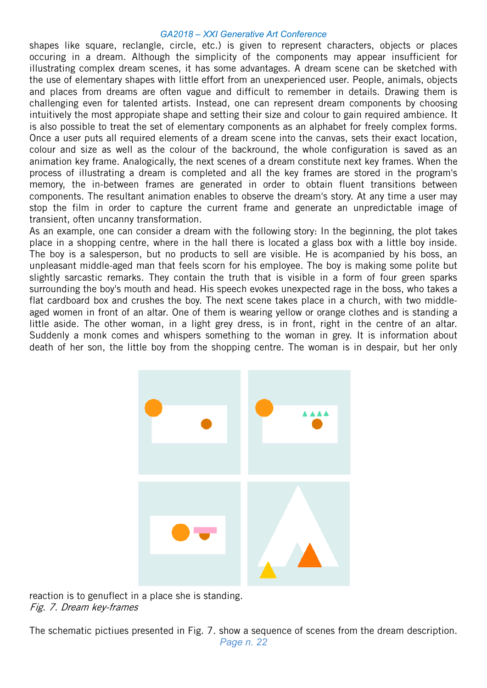shapes like square, reclangle, circle, etc.) is given to represent characters, objects or places occuring in a dream. Although the simplicity of the components may appear insufficient for illustrating complex dream scenes, it has some advantages. A dream scene can be sketched with the use of elementary shapes with little effort from an unexperienced user. People, animals, objects and places from dreams are often vague and difficult to remember in details. Drawing them is challenging even for talented artists. Instead, one can represent dream components by choosing intuitively the most appropiate shape and setting their size and colour to gain required ambience. It is also possible to treat the set of elementary components as an alphabet for freely complex forms. Once a user puts all required elements of a dream scene into the canvas, sets their exact location, colour and size as well as the colour of the backround, the whole configuration is saved as an animation key frame. Analogically, the next scenes of a dream constitute next key frames. When the process of illustrating a dream is completed and all the key frames are stored in the program's memory, the in-between frames are generated in order to obtain fluent transitions between components. The resultant animation enables to observe the dream's story. At any time a user may stop the film in order to capture the current frame and generate an unpredictable image of transient, often uncanny transformation.

As an example, one can consider a dream with the following story: In the beginning, the plot takes place in a shopping centre, where in the hall there is located a glass box with a little boy inside. The boy is a salesperson, but no products to sell are visible. He is acompanied by his boss, an unpleasant middle-aged man that feels scorn for his employee. The boy is making some polite but slightly sarcastic remarks. They contain the truth that is visible in a form of four green sparks surrounding the boy's mouth and head. His speech evokes unexpected rage in the boss, who takes a flat cardboard box and crushes the boy. The next scene takes place in a church, with two middleaged women in front of an altar. One of them is wearing yellow or orange clothes and is standing a little aside. The other woman, in a light grey dress, is in front, right in the centre of an altar. Suddenly a monk comes and whispers something to the woman in grey. It is information about death of her son, the little boy from the shopping centre. The woman is in despair, but her only



reaction is to genuflect in a place she is standing. Fig. 7. Dream key-frames

*Page n. 22*  The schematic pictiues presented in Fig. 7. show a sequence of scenes from the dream description.